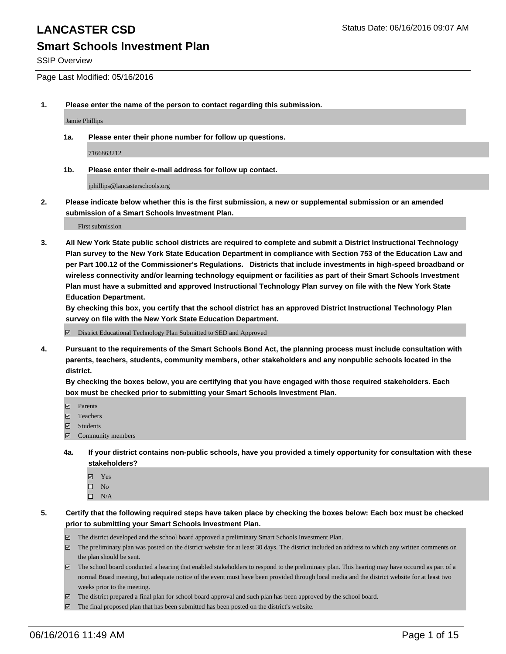### **Smart Schools Investment Plan**

SSIP Overview

Page Last Modified: 05/16/2016

**1. Please enter the name of the person to contact regarding this submission.**

Jamie Phillips

**1a. Please enter their phone number for follow up questions.**

7166863212

**1b. Please enter their e-mail address for follow up contact.**

jphillips@lancasterschools.org

**2. Please indicate below whether this is the first submission, a new or supplemental submission or an amended submission of a Smart Schools Investment Plan.**

First submission

**3. All New York State public school districts are required to complete and submit a District Instructional Technology Plan survey to the New York State Education Department in compliance with Section 753 of the Education Law and per Part 100.12 of the Commissioner's Regulations. Districts that include investments in high-speed broadband or wireless connectivity and/or learning technology equipment or facilities as part of their Smart Schools Investment Plan must have a submitted and approved Instructional Technology Plan survey on file with the New York State Education Department.** 

**By checking this box, you certify that the school district has an approved District Instructional Technology Plan survey on file with the New York State Education Department.**

District Educational Technology Plan Submitted to SED and Approved

**4. Pursuant to the requirements of the Smart Schools Bond Act, the planning process must include consultation with parents, teachers, students, community members, other stakeholders and any nonpublic schools located in the district.** 

**By checking the boxes below, you are certifying that you have engaged with those required stakeholders. Each box must be checked prior to submitting your Smart Schools Investment Plan.**

- **Parents**
- Teachers
- $\blacksquare$  Students
- Community members
- **4a. If your district contains non-public schools, have you provided a timely opportunity for consultation with these stakeholders?**
	- Yes  $\square$  No
	- $\square$  N/A
- **5. Certify that the following required steps have taken place by checking the boxes below: Each box must be checked prior to submitting your Smart Schools Investment Plan.**
	- The district developed and the school board approved a preliminary Smart Schools Investment Plan.
	- $\Box$  The preliminary plan was posted on the district website for at least 30 days. The district included an address to which any written comments on the plan should be sent.
	- $\Box$  The school board conducted a hearing that enabled stakeholders to respond to the preliminary plan. This hearing may have occured as part of a normal Board meeting, but adequate notice of the event must have been provided through local media and the district website for at least two weeks prior to the meeting.
	- The district prepared a final plan for school board approval and such plan has been approved by the school board.
	- $\boxdot$  The final proposed plan that has been submitted has been posted on the district's website.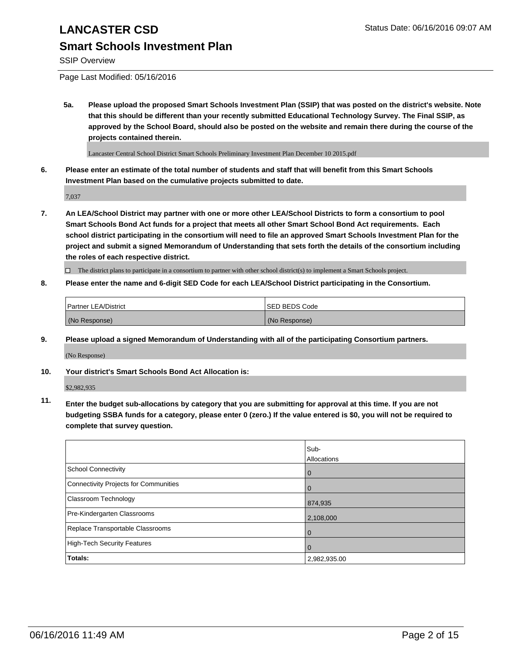# **Smart Schools Investment Plan**

SSIP Overview

Page Last Modified: 05/16/2016

**5a. Please upload the proposed Smart Schools Investment Plan (SSIP) that was posted on the district's website. Note that this should be different than your recently submitted Educational Technology Survey. The Final SSIP, as approved by the School Board, should also be posted on the website and remain there during the course of the projects contained therein.**

Lancaster Central School District Smart Schools Preliminary Investment Plan December 10 2015.pdf

**6. Please enter an estimate of the total number of students and staff that will benefit from this Smart Schools Investment Plan based on the cumulative projects submitted to date.**

7,037

**7. An LEA/School District may partner with one or more other LEA/School Districts to form a consortium to pool Smart Schools Bond Act funds for a project that meets all other Smart School Bond Act requirements. Each school district participating in the consortium will need to file an approved Smart Schools Investment Plan for the project and submit a signed Memorandum of Understanding that sets forth the details of the consortium including the roles of each respective district.**

 $\Box$  The district plans to participate in a consortium to partner with other school district(s) to implement a Smart Schools project.

**8. Please enter the name and 6-digit SED Code for each LEA/School District participating in the Consortium.**

| Partner LEA/District | ISED BEDS Code |
|----------------------|----------------|
| (No Response)        | (No Response)  |

**9. Please upload a signed Memorandum of Understanding with all of the participating Consortium partners.**

(No Response)

**10. Your district's Smart Schools Bond Act Allocation is:**

\$2,982,935

**11. Enter the budget sub-allocations by category that you are submitting for approval at this time. If you are not budgeting SSBA funds for a category, please enter 0 (zero.) If the value entered is \$0, you will not be required to complete that survey question.**

|                                       | Sub-         |
|---------------------------------------|--------------|
|                                       | Allocations  |
| <b>School Connectivity</b>            | $\mathbf 0$  |
| Connectivity Projects for Communities | $\Omega$     |
| <b>Classroom Technology</b>           | 874,935      |
| Pre-Kindergarten Classrooms           | 2,108,000    |
| Replace Transportable Classrooms      | 0            |
| High-Tech Security Features           | 0            |
| <b>Totals:</b>                        | 2,982,935.00 |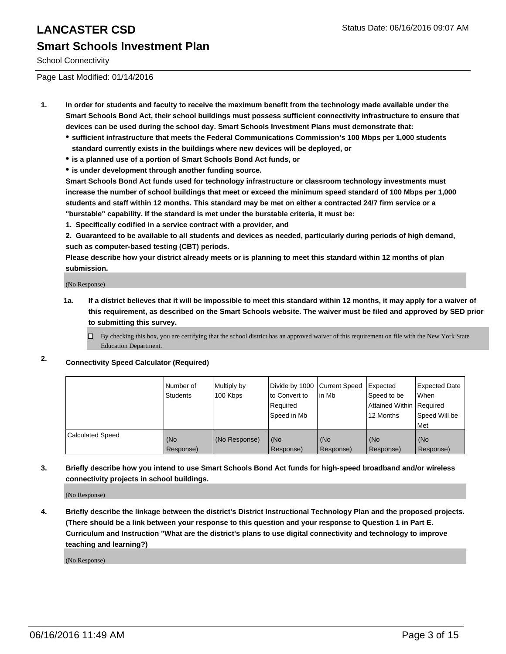School Connectivity

Page Last Modified: 01/14/2016

- **1. In order for students and faculty to receive the maximum benefit from the technology made available under the Smart Schools Bond Act, their school buildings must possess sufficient connectivity infrastructure to ensure that devices can be used during the school day. Smart Schools Investment Plans must demonstrate that:**
	- **sufficient infrastructure that meets the Federal Communications Commission's 100 Mbps per 1,000 students standard currently exists in the buildings where new devices will be deployed, or**
	- **is a planned use of a portion of Smart Schools Bond Act funds, or**
	- **is under development through another funding source.**

**Smart Schools Bond Act funds used for technology infrastructure or classroom technology investments must increase the number of school buildings that meet or exceed the minimum speed standard of 100 Mbps per 1,000 students and staff within 12 months. This standard may be met on either a contracted 24/7 firm service or a "burstable" capability. If the standard is met under the burstable criteria, it must be:**

**1. Specifically codified in a service contract with a provider, and**

**2. Guaranteed to be available to all students and devices as needed, particularly during periods of high demand, such as computer-based testing (CBT) periods.**

**Please describe how your district already meets or is planning to meet this standard within 12 months of plan submission.**

(No Response)

- **1a. If a district believes that it will be impossible to meet this standard within 12 months, it may apply for a waiver of this requirement, as described on the Smart Schools website. The waiver must be filed and approved by SED prior to submitting this survey.**
	- $\Box$  By checking this box, you are certifying that the school district has an approved waiver of this requirement on file with the New York State Education Department.

### **2. Connectivity Speed Calculator (Required)**

|                         | l Number of<br>Students | Multiply by<br>100 Kbps | Divide by 1000 Current Speed<br>Ito Convert to<br>Required<br>Speed in Mb | l in Mb          | Expected<br>Speed to be<br>Attained Within   Required<br>12 Months | <b>Expected Date</b><br><b>When</b><br>Speed Will be |
|-------------------------|-------------------------|-------------------------|---------------------------------------------------------------------------|------------------|--------------------------------------------------------------------|------------------------------------------------------|
|                         |                         |                         |                                                                           |                  |                                                                    | l Met                                                |
| <b>Calculated Speed</b> | (No<br>Response)        | (No Response)           | (No<br>Response)                                                          | (No<br>Response) | (No<br>Response)                                                   | (No<br>Response)                                     |

**3. Briefly describe how you intend to use Smart Schools Bond Act funds for high-speed broadband and/or wireless connectivity projects in school buildings.**

(No Response)

**4. Briefly describe the linkage between the district's District Instructional Technology Plan and the proposed projects. (There should be a link between your response to this question and your response to Question 1 in Part E. Curriculum and Instruction "What are the district's plans to use digital connectivity and technology to improve teaching and learning?)**

(No Response)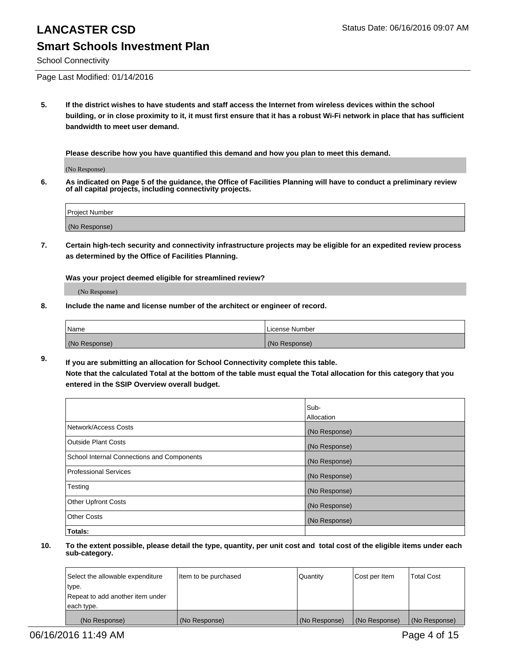School Connectivity

Page Last Modified: 01/14/2016

**5. If the district wishes to have students and staff access the Internet from wireless devices within the school building, or in close proximity to it, it must first ensure that it has a robust Wi-Fi network in place that has sufficient bandwidth to meet user demand.**

**Please describe how you have quantified this demand and how you plan to meet this demand.**

(No Response)

**6. As indicated on Page 5 of the guidance, the Office of Facilities Planning will have to conduct a preliminary review of all capital projects, including connectivity projects.**

| Project Number |  |
|----------------|--|
|                |  |
| (No Response)  |  |

**7. Certain high-tech security and connectivity infrastructure projects may be eligible for an expedited review process as determined by the Office of Facilities Planning.**

**Was your project deemed eligible for streamlined review?**

(No Response)

**8. Include the name and license number of the architect or engineer of record.**

| <b>Name</b>   | License Number |
|---------------|----------------|
| (No Response) | (No Response)  |

**9. If you are submitting an allocation for School Connectivity complete this table. Note that the calculated Total at the bottom of the table must equal the Total allocation for this category that you entered in the SSIP Overview overall budget.** 

|                                            | Sub-          |
|--------------------------------------------|---------------|
|                                            | Allocation    |
| Network/Access Costs                       | (No Response) |
| <b>Outside Plant Costs</b>                 | (No Response) |
| School Internal Connections and Components | (No Response) |
| Professional Services                      | (No Response) |
| Testing                                    | (No Response) |
| <b>Other Upfront Costs</b>                 | (No Response) |
| <b>Other Costs</b>                         | (No Response) |
| Totals:                                    |               |

| Select the allowable expenditure | Item to be purchased | Quantity      | Cost per Item | <b>Total Cost</b> |
|----------------------------------|----------------------|---------------|---------------|-------------------|
| type.                            |                      |               |               |                   |
| Repeat to add another item under |                      |               |               |                   |
| each type.                       |                      |               |               |                   |
| (No Response)                    | (No Response)        | (No Response) | (No Response) | (No Response)     |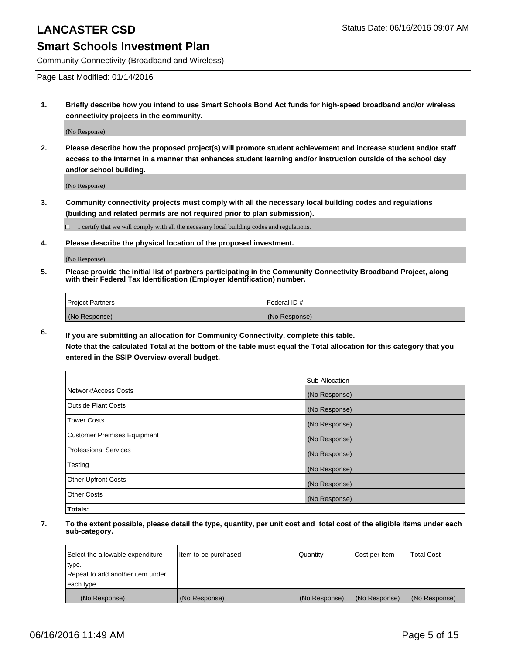### **Smart Schools Investment Plan**

Community Connectivity (Broadband and Wireless)

Page Last Modified: 01/14/2016

**1. Briefly describe how you intend to use Smart Schools Bond Act funds for high-speed broadband and/or wireless connectivity projects in the community.**

(No Response)

**2. Please describe how the proposed project(s) will promote student achievement and increase student and/or staff access to the Internet in a manner that enhances student learning and/or instruction outside of the school day and/or school building.**

(No Response)

**3. Community connectivity projects must comply with all the necessary local building codes and regulations (building and related permits are not required prior to plan submission).**

 $\Box$  I certify that we will comply with all the necessary local building codes and regulations.

**4. Please describe the physical location of the proposed investment.**

(No Response)

**5. Please provide the initial list of partners participating in the Community Connectivity Broadband Project, along with their Federal Tax Identification (Employer Identification) number.**

| Project Partners | <b>IFederal ID#</b> |
|------------------|---------------------|
| (No Response)    | (No Response)       |

**6. If you are submitting an allocation for Community Connectivity, complete this table. Note that the calculated Total at the bottom of the table must equal the Total allocation for this category that you**

**entered in the SSIP Overview overall budget.**

|                             | Sub-Allocation |
|-----------------------------|----------------|
| Network/Access Costs        | (No Response)  |
| Outside Plant Costs         | (No Response)  |
| <b>Tower Costs</b>          | (No Response)  |
| Customer Premises Equipment | (No Response)  |
| Professional Services       | (No Response)  |
| Testing                     | (No Response)  |
| Other Upfront Costs         | (No Response)  |
| Other Costs                 | (No Response)  |
| Totals:                     |                |

| Select the allowable expenditure | Item to be purchased | Quantity      | Cost per Item | <b>Total Cost</b> |
|----------------------------------|----------------------|---------------|---------------|-------------------|
| type.                            |                      |               |               |                   |
| Repeat to add another item under |                      |               |               |                   |
| each type.                       |                      |               |               |                   |
| (No Response)                    | (No Response)        | (No Response) | (No Response) | (No Response)     |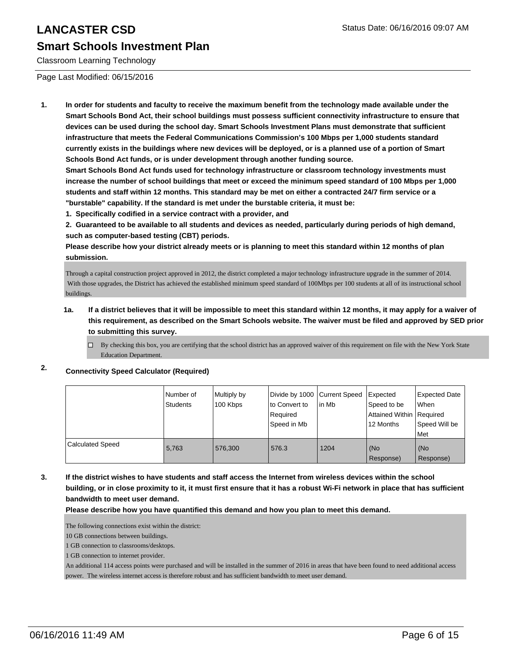#### Classroom Learning Technology

Page Last Modified: 06/15/2016

**1. In order for students and faculty to receive the maximum benefit from the technology made available under the Smart Schools Bond Act, their school buildings must possess sufficient connectivity infrastructure to ensure that devices can be used during the school day. Smart Schools Investment Plans must demonstrate that sufficient infrastructure that meets the Federal Communications Commission's 100 Mbps per 1,000 students standard currently exists in the buildings where new devices will be deployed, or is a planned use of a portion of Smart Schools Bond Act funds, or is under development through another funding source.**

**Smart Schools Bond Act funds used for technology infrastructure or classroom technology investments must increase the number of school buildings that meet or exceed the minimum speed standard of 100 Mbps per 1,000 students and staff within 12 months. This standard may be met on either a contracted 24/7 firm service or a "burstable" capability. If the standard is met under the burstable criteria, it must be:**

**1. Specifically codified in a service contract with a provider, and**

**2. Guaranteed to be available to all students and devices as needed, particularly during periods of high demand, such as computer-based testing (CBT) periods.**

**Please describe how your district already meets or is planning to meet this standard within 12 months of plan submission.**

Through a capital construction project approved in 2012, the district completed a major technology infrastructure upgrade in the summer of 2014. With those upgrades, the District has achieved the established minimum speed standard of 100Mbps per 100 students at all of its instructional school buildings.

#### **1a. If a district believes that it will be impossible to meet this standard within 12 months, it may apply for a waiver of this requirement, as described on the Smart Schools website. The waiver must be filed and approved by SED prior to submitting this survey.**

 $\Box$  By checking this box, you are certifying that the school district has an approved waiver of this requirement on file with the New York State Education Department.

### **2. Connectivity Speed Calculator (Required)**

|                         | Number of<br>Students | Multiply by<br>100 Kbps | Divide by 1000 Current Speed<br>to Convert to<br>Reauired<br>Speed in Mb | lin Mb | Expected<br>Speed to be<br>Attained Within   Required<br>12 Months | Expected Date<br>l When<br>Speed Will be<br>Met |
|-------------------------|-----------------------|-------------------------|--------------------------------------------------------------------------|--------|--------------------------------------------------------------------|-------------------------------------------------|
| <b>Calculated Speed</b> | 5,763                 | 576,300                 | 576.3                                                                    | 1204   | (No<br>Response)                                                   | (No<br>Response)                                |

**3. If the district wishes to have students and staff access the Internet from wireless devices within the school building, or in close proximity to it, it must first ensure that it has a robust Wi-Fi network in place that has sufficient bandwidth to meet user demand.**

**Please describe how you have quantified this demand and how you plan to meet this demand.**

The following connections exist within the district:

10 GB connections between buildings.

1 GB connection to classrooms/desktops.

1 GB connection to internet provider.

An additional 114 access points were purchased and will be installed in the summer of 2016 in areas that have been found to need additional access power. The wireless internet access is therefore robust and has sufficient bandwidth to meet user demand.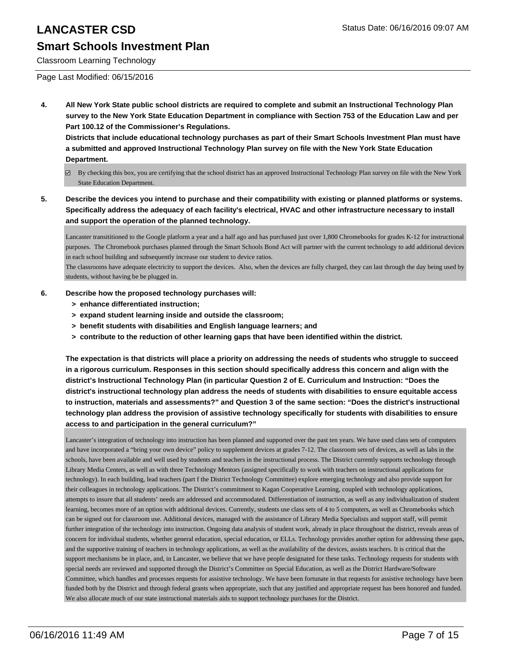## **Smart Schools Investment Plan**

Classroom Learning Technology

Page Last Modified: 06/15/2016

**4. All New York State public school districts are required to complete and submit an Instructional Technology Plan survey to the New York State Education Department in compliance with Section 753 of the Education Law and per Part 100.12 of the Commissioner's Regulations.**

**Districts that include educational technology purchases as part of their Smart Schools Investment Plan must have a submitted and approved Instructional Technology Plan survey on file with the New York State Education Department.**

- By checking this box, you are certifying that the school district has an approved Instructional Technology Plan survey on file with the New York State Education Department.
- **5. Describe the devices you intend to purchase and their compatibility with existing or planned platforms or systems. Specifically address the adequacy of each facility's electrical, HVAC and other infrastructure necessary to install and support the operation of the planned technology.**

Lancaster transititioned to the Google platform a year and a half ago and has purchased just over 1,800 Chromebooks for grades K-12 for instructional purposes. The Chromebook purchases planned through the Smart Schools Bond Act will partner with the current technology to add additional devices in each school building and subsequently increase our student to device ratios.

The classrooms have adequate electricity to support the devices. Also, when the devices are fully charged, they can last through the day being used by students, without having be be plugged in.

#### **6. Describe how the proposed technology purchases will:**

- **> enhance differentiated instruction;**
- **> expand student learning inside and outside the classroom;**
- **> benefit students with disabilities and English language learners; and**
- **> contribute to the reduction of other learning gaps that have been identified within the district.**

**The expectation is that districts will place a priority on addressing the needs of students who struggle to succeed in a rigorous curriculum. Responses in this section should specifically address this concern and align with the district's Instructional Technology Plan (in particular Question 2 of E. Curriculum and Instruction: "Does the district's instructional technology plan address the needs of students with disabilities to ensure equitable access to instruction, materials and assessments?" and Question 3 of the same section: "Does the district's instructional technology plan address the provision of assistive technology specifically for students with disabilities to ensure access to and participation in the general curriculum?"**

Lancaster's integration of technology into instruction has been planned and supported over the past ten years. We have used class sets of computers and have incorporated a "bring your own device" policy to supplement devices at grades 7-12. The classroom sets of devices, as well as labs in the schools, have been available and well used by students and teachers in the instructional process. The District currently supports technology through Library Media Centers, as well as with three Technology Mentors (assigned specifically to work with teachers on instructional applications for technology). In each building, lead teachers (part f the District Technology Committee) explore emerging technology and also provide support for their colleagues in technology applications. The District's commitment to Kagan Cooperative Learning, coupled with technology applications, attempts to insure that all students' needs are addressed and accommodated. Differentiation of instruction, as well as any individualization of student learning, becomes more of an option with additional devices. Currently, students use class sets of 4 to 5 computers, as well as Chromebooks which can be signed out for classroom use. Additional devices, managed with the assistance of Library Media Specialists and support staff, will permit further integration of the technology into instruction. Ongoing data analysis of student work, already in place throughout the district, reveals areas of concern for individual students, whether general education, special education, or ELLs. Technology provides another option for addressing these gaps, and the supportive training of teachers in technology applications, as well as the availability of the devices, assists teachers. It is critical that the support mechanisms be in place, and, in Lancaster, we believe that we have people designated for these tasks. Technology requests for students with special needs are reviewed and supported through the District's Committee on Special Education, as well as the District Hardware/Software Committee, which handles and processes requests for assistive technology. We have been fortunate in that requests for assistive technology have been funded both by the District and through federal grants when appropriate, such that any justified and appropriate request has been honored and funded. We also allocate much of our state instructional materials aids to support technology purchases for the District.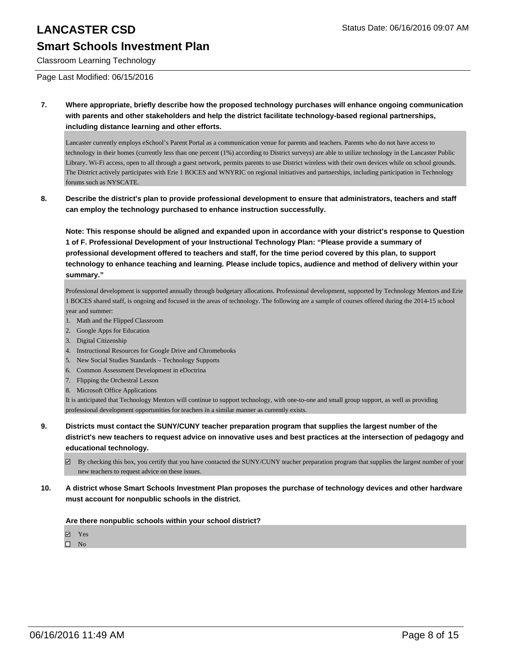#### Classroom Learning Technology

Page Last Modified: 06/15/2016

**7. Where appropriate, briefly describe how the proposed technology purchases will enhance ongoing communication with parents and other stakeholders and help the district facilitate technology-based regional partnerships, including distance learning and other efforts.**

Lancaster currently employs eSchool's Parent Portal as a communication venue for parents and teachers. Parents who do not have access to technology in their homes (currently less than one percent (1%) according to District surveys) are able to utilize technology in the Lancaster Public Library. Wi-Fi access, open to all through a guest network, permits parents to use District wireless with their own devices while on school grounds. The District actively participates with Erie 1 BOCES and WNYRIC on regional initiatives and partnerships, including participation in Technology forums such as NYSCATE.

**8. Describe the district's plan to provide professional development to ensure that administrators, teachers and staff can employ the technology purchased to enhance instruction successfully.**

**Note: This response should be aligned and expanded upon in accordance with your district's response to Question 1 of F. Professional Development of your Instructional Technology Plan: "Please provide a summary of professional development offered to teachers and staff, for the time period covered by this plan, to support technology to enhance teaching and learning. Please include topics, audience and method of delivery within your summary."**

Professional development is supported annually through budgetary allocations. Professional development, supported by Technology Mentors and Erie 1 BOCES shared staff, is ongoing and focused in the areas of technology. The following are a sample of courses offered during the 2014-15 school year and summer:

- 1. Math and the Flipped Classroom
- 2. Google Apps for Education
- 3. Digital Citizenship
- 4. Instructional Resources for Google Drive and Chromebooks
- 5. New Social Studies Standards Technology Supports
- 6. Common Assessment Development in eDoctrina
- 7. Flipping the Orchestral Lesson
- 8. Microsoft Office Applications

It is anticipated that Technology Mentors will continue to support technology, with one-to-one and small group support, as well as providing professional development opportunities for teachers in a similar manner as currently exists.

- **9. Districts must contact the SUNY/CUNY teacher preparation program that supplies the largest number of the district's new teachers to request advice on innovative uses and best practices at the intersection of pedagogy and educational technology.**
	- $\boxtimes$  By checking this box, you certify that you have contacted the SUNY/CUNY teacher preparation program that supplies the largest number of your new teachers to request advice on these issues.
- **10. A district whose Smart Schools Investment Plan proposes the purchase of technology devices and other hardware must account for nonpublic schools in the district.**

**Are there nonpublic schools within your school district?**

**Ø** Yes

 $\square$  No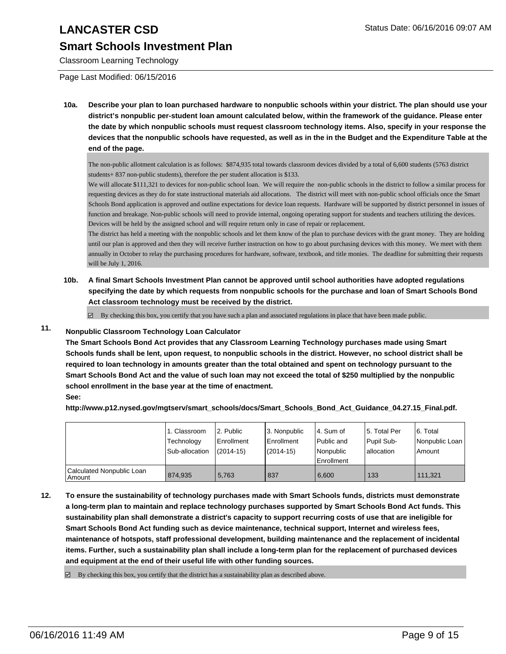## **Smart Schools Investment Plan**

Classroom Learning Technology

Page Last Modified: 06/15/2016

**10a. Describe your plan to loan purchased hardware to nonpublic schools within your district. The plan should use your district's nonpublic per-student loan amount calculated below, within the framework of the guidance. Please enter the date by which nonpublic schools must request classroom technology items. Also, specify in your response the devices that the nonpublic schools have requested, as well as in the in the Budget and the Expenditure Table at the end of the page.**

The non-public allotment calculation is as follows: \$874,935 total towards classroom devices divided by a total of 6,600 students (5763 district students+ 837 non-public students), therefore the per student allocation is \$133.

We will allocate \$111,321 to devices for non-public school loan. We will require the non-public schools in the district to follow a similar process for requesting devices as they do for state instructional materials aid allocations. The district will meet with non-public school officials once the Smart Schools Bond application is approved and outline expectations for device loan requests. Hardware will be supported by district personnel in issues of function and breakage. Non-public schools will need to provide internal, ongoing operating support for students and teachers utilizing the devices. Devices will be held by the assigned school and will require return only in case of repair or replacement.

The district has held a meeting with the nonpublic schools and let them know of the plan to purchase devices with the grant money. They are holding until our plan is approved and then they will receive further instruction on how to go about purchasing devices with this money. We meet with them annually in October to relay the purchasing procedures for hardware, software, textbook, and title monies. The deadline for submitting their requests will be July 1, 2016.

**10b. A final Smart Schools Investment Plan cannot be approved until school authorities have adopted regulations specifying the date by which requests from nonpublic schools for the purchase and loan of Smart Schools Bond Act classroom technology must be received by the district.**

 $\boxtimes$  By checking this box, you certify that you have such a plan and associated regulations in place that have been made public.

### **11. Nonpublic Classroom Technology Loan Calculator**

**The Smart Schools Bond Act provides that any Classroom Learning Technology purchases made using Smart Schools funds shall be lent, upon request, to nonpublic schools in the district. However, no school district shall be required to loan technology in amounts greater than the total obtained and spent on technology pursuant to the Smart Schools Bond Act and the value of such loan may not exceed the total of \$250 multiplied by the nonpublic school enrollment in the base year at the time of enactment.**

**See:**

**http://www.p12.nysed.gov/mgtserv/smart\_schools/docs/Smart\_Schools\_Bond\_Act\_Guidance\_04.27.15\_Final.pdf.**

|                                     | 1. Classroom<br>Technology<br>Sub-allocation | 2. Public<br><b>Enrollment</b><br>$(2014 - 15)$ | 3. Nonpublic<br>Enrollment<br>$(2014-15)$ | l 4. Sum of<br>l Public and<br>l Nonpublic<br><b>Enrollment</b> | 5. Total Per<br>Pupil Sub-<br>Iallocation | 6. Total<br>l Nonpublic Loan<br>Amount |
|-------------------------------------|----------------------------------------------|-------------------------------------------------|-------------------------------------------|-----------------------------------------------------------------|-------------------------------------------|----------------------------------------|
| Calculated Nonpublic Loan<br>Amount | 874.935                                      | 5.763                                           | 837                                       | 6.600                                                           | 133                                       | 111.321                                |

**12. To ensure the sustainability of technology purchases made with Smart Schools funds, districts must demonstrate a long-term plan to maintain and replace technology purchases supported by Smart Schools Bond Act funds. This sustainability plan shall demonstrate a district's capacity to support recurring costs of use that are ineligible for Smart Schools Bond Act funding such as device maintenance, technical support, Internet and wireless fees, maintenance of hotspots, staff professional development, building maintenance and the replacement of incidental items. Further, such a sustainability plan shall include a long-term plan for the replacement of purchased devices and equipment at the end of their useful life with other funding sources.**

 $\boxtimes$  By checking this box, you certify that the district has a sustainability plan as described above.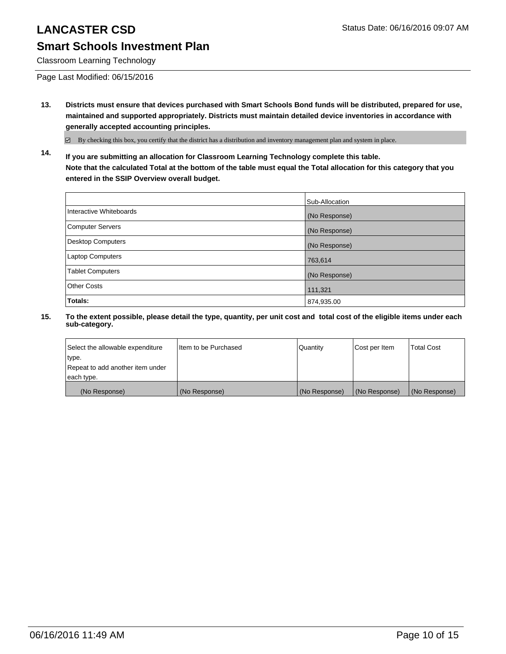## **Smart Schools Investment Plan**

Classroom Learning Technology

Page Last Modified: 06/15/2016

**13. Districts must ensure that devices purchased with Smart Schools Bond funds will be distributed, prepared for use, maintained and supported appropriately. Districts must maintain detailed device inventories in accordance with generally accepted accounting principles.**

By checking this box, you certify that the district has a distribution and inventory management plan and system in place.

**14. If you are submitting an allocation for Classroom Learning Technology complete this table. Note that the calculated Total at the bottom of the table must equal the Total allocation for this category that you entered in the SSIP Overview overall budget.**

|                          | Sub-Allocation |
|--------------------------|----------------|
| Interactive Whiteboards  | (No Response)  |
| Computer Servers         | (No Response)  |
| <b>Desktop Computers</b> | (No Response)  |
| <b>Laptop Computers</b>  | 763,614        |
| <b>Tablet Computers</b>  | (No Response)  |
| <b>Other Costs</b>       | 111,321        |
| Totals:                  | 874,935.00     |

| Select the allowable expenditure | I Item to be Purchased | Quantity      | Cost per Item | <b>Total Cost</b> |
|----------------------------------|------------------------|---------------|---------------|-------------------|
| type.                            |                        |               |               |                   |
| Repeat to add another item under |                        |               |               |                   |
| each type.                       |                        |               |               |                   |
| (No Response)                    | (No Response)          | (No Response) | (No Response) | (No Response)     |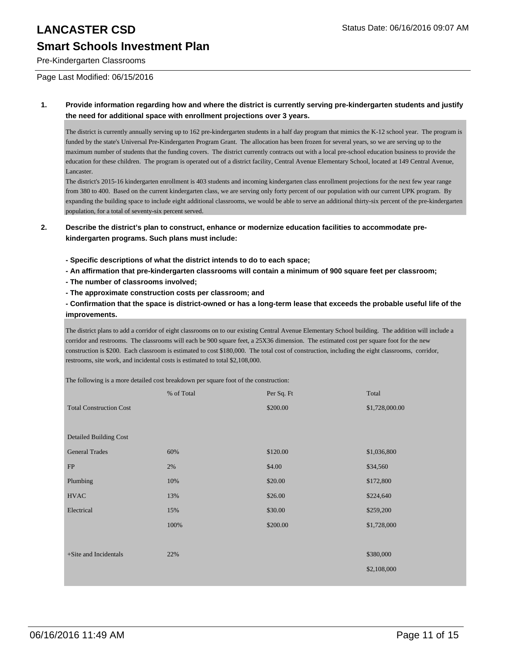Pre-Kindergarten Classrooms

Page Last Modified: 06/15/2016

#### **1. Provide information regarding how and where the district is currently serving pre-kindergarten students and justify the need for additional space with enrollment projections over 3 years.**

The district is currently annually serving up to 162 pre-kindergarten students in a half day program that mimics the K-12 school year. The program is funded by the state's Universal Pre-Kindergarten Program Grant. The allocation has been frozen for several years, so we are serving up to the maximum number of students that the funding covers. The district currently contracts out with a local pre-school education business to provide the education for these children. The program is operated out of a district facility, Central Avenue Elementary School, located at 149 Central Avenue, Lancaster.

The district's 2015-16 kindergarten enrollment is 403 students and incoming kindergarten class enrollment projections for the next few year range from 380 to 400. Based on the current kindergarten class, we are serving only forty percent of our population with our current UPK program. By expanding the building space to include eight additional classrooms, we would be able to serve an additional thirty-six percent of the pre-kindergarten population, for a total of seventy-six percent served.

#### **2. Describe the district's plan to construct, enhance or modernize education facilities to accommodate prekindergarten programs. Such plans must include:**

- **Specific descriptions of what the district intends to do to each space;**
- **An affirmation that pre-kindergarten classrooms will contain a minimum of 900 square feet per classroom;**
- **The number of classrooms involved;**
- **The approximate construction costs per classroom; and**

**- Confirmation that the space is district-owned or has a long-term lease that exceeds the probable useful life of the improvements.**

The district plans to add a corridor of eight classrooms on to our existing Central Avenue Elementary School building. The addition will include a corridor and restrooms. The classrooms will each be 900 square feet, a 25X36 dimension. The estimated cost per square foot for the new construction is \$200. Each classroom is estimated to cost \$180,000. The total cost of construction, including the eight classrooms, corridor, restrooms, site work, and incidental costs is estimated to total \$2,108,000.

The following is a more detailed cost breakdown per square foot of the construction:

|                                | % of Total | Per Sq. Ft | Total          |
|--------------------------------|------------|------------|----------------|
| <b>Total Construction Cost</b> |            | \$200.00   | \$1,728,000.00 |
|                                |            |            |                |
| <b>Detailed Building Cost</b>  |            |            |                |
| <b>General Trades</b>          | 60%        | \$120.00   | \$1,036,800    |
| FP                             | 2%         | \$4.00     | \$34,560       |
| Plumbing                       | 10%        | \$20.00    | \$172,800      |
| <b>HVAC</b>                    | 13%        | \$26.00    | \$224,640      |
| Electrical                     | 15%        | \$30.00    | \$259,200      |
|                                | 100%       | \$200.00   | \$1,728,000    |
|                                |            |            |                |
| +Site and Incidentals          | 22%        |            | \$380,000      |
|                                |            |            | \$2,108,000    |
|                                |            |            |                |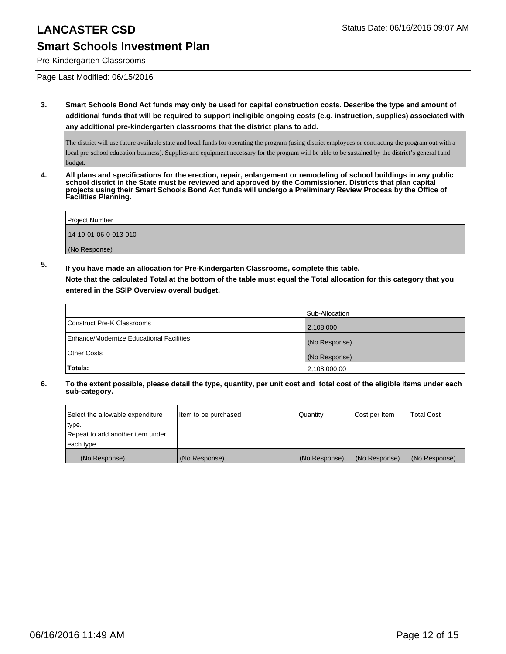# **Smart Schools Investment Plan**

Pre-Kindergarten Classrooms

Page Last Modified: 06/15/2016

**3. Smart Schools Bond Act funds may only be used for capital construction costs. Describe the type and amount of additional funds that will be required to support ineligible ongoing costs (e.g. instruction, supplies) associated with any additional pre-kindergarten classrooms that the district plans to add.**

The district will use future available state and local funds for operating the program (using district employees or contracting the program out with a local pre-school education business). Supplies and equipment necessary for the program will be able to be sustained by the district's general fund budget.

**4. All plans and specifications for the erection, repair, enlargement or remodeling of school buildings in any public school district in the State must be reviewed and approved by the Commissioner. Districts that plan capital projects using their Smart Schools Bond Act funds will undergo a Preliminary Review Process by the Office of Facilities Planning.**

| Project Number        |  |
|-----------------------|--|
| 14-19-01-06-0-013-010 |  |
| (No Response)         |  |

**5. If you have made an allocation for Pre-Kindergarten Classrooms, complete this table.**

**Note that the calculated Total at the bottom of the table must equal the Total allocation for this category that you entered in the SSIP Overview overall budget.**

|                                          | Sub-Allocation |
|------------------------------------------|----------------|
| Construct Pre-K Classrooms               | 2,108,000      |
| Enhance/Modernize Educational Facilities | (No Response)  |
| Other Costs                              | (No Response)  |
| Totals:                                  | 2,108,000.00   |

| Select the allowable expenditure | Item to be purchased | l Quantitv    | Cost per Item | <b>Total Cost</b> |
|----------------------------------|----------------------|---------------|---------------|-------------------|
| type.                            |                      |               |               |                   |
| Repeat to add another item under |                      |               |               |                   |
| each type.                       |                      |               |               |                   |
| (No Response)                    | (No Response)        | (No Response) | (No Response) | (No Response)     |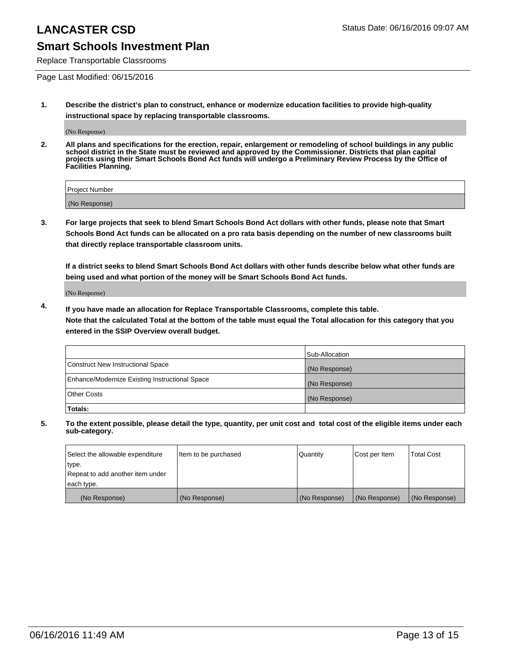## **Smart Schools Investment Plan**

Replace Transportable Classrooms

Page Last Modified: 06/15/2016

**1. Describe the district's plan to construct, enhance or modernize education facilities to provide high-quality instructional space by replacing transportable classrooms.**

(No Response)

**2. All plans and specifications for the erection, repair, enlargement or remodeling of school buildings in any public school district in the State must be reviewed and approved by the Commissioner. Districts that plan capital projects using their Smart Schools Bond Act funds will undergo a Preliminary Review Process by the Office of Facilities Planning.**

| <b>Project Number</b> |  |
|-----------------------|--|
| (No Response)         |  |

**3. For large projects that seek to blend Smart Schools Bond Act dollars with other funds, please note that Smart Schools Bond Act funds can be allocated on a pro rata basis depending on the number of new classrooms built that directly replace transportable classroom units.**

**If a district seeks to blend Smart Schools Bond Act dollars with other funds describe below what other funds are being used and what portion of the money will be Smart Schools Bond Act funds.**

(No Response)

**4. If you have made an allocation for Replace Transportable Classrooms, complete this table. Note that the calculated Total at the bottom of the table must equal the Total allocation for this category that you entered in the SSIP Overview overall budget.**

|                                                | Sub-Allocation |
|------------------------------------------------|----------------|
| Construct New Instructional Space              | (No Response)  |
| Enhance/Modernize Existing Instructional Space | (No Response)  |
| <b>Other Costs</b>                             | (No Response)  |
| Totals:                                        |                |

| Select the allowable expenditure | Item to be purchased | <b>Quantity</b> | Cost per Item | <b>Total Cost</b> |
|----------------------------------|----------------------|-----------------|---------------|-------------------|
| type.                            |                      |                 |               |                   |
| Repeat to add another item under |                      |                 |               |                   |
| each type.                       |                      |                 |               |                   |
| (No Response)                    | (No Response)        | (No Response)   | (No Response) | (No Response)     |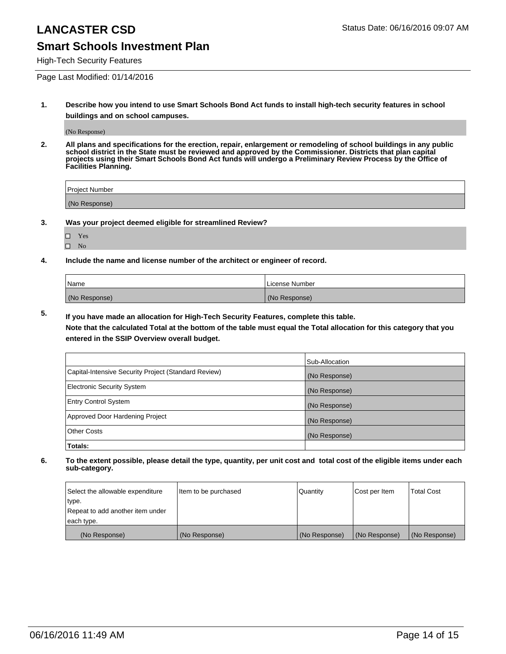## **Smart Schools Investment Plan**

High-Tech Security Features

Page Last Modified: 01/14/2016

**1. Describe how you intend to use Smart Schools Bond Act funds to install high-tech security features in school buildings and on school campuses.**

(No Response)

**2. All plans and specifications for the erection, repair, enlargement or remodeling of school buildings in any public school district in the State must be reviewed and approved by the Commissioner. Districts that plan capital projects using their Smart Schools Bond Act funds will undergo a Preliminary Review Process by the Office of Facilities Planning.** 

| Project Number |  |
|----------------|--|
| (No Response)  |  |

**3. Was your project deemed eligible for streamlined Review?**

| П | Yes |  |
|---|-----|--|
| П | Nο  |  |

**4. Include the name and license number of the architect or engineer of record.**

| Name          | License Number |
|---------------|----------------|
| (No Response) | (No Response)  |

**5. If you have made an allocation for High-Tech Security Features, complete this table.**

**Note that the calculated Total at the bottom of the table must equal the Total allocation for this category that you entered in the SSIP Overview overall budget.**

|                                                      | Sub-Allocation |
|------------------------------------------------------|----------------|
| Capital-Intensive Security Project (Standard Review) | (No Response)  |
| <b>Electronic Security System</b>                    | (No Response)  |
| <b>Entry Control System</b>                          | (No Response)  |
| Approved Door Hardening Project                      | (No Response)  |
| <b>Other Costs</b>                                   | (No Response)  |
| Totals:                                              |                |

| Select the allowable expenditure | Item to be purchased | Quantity      | Cost per Item | <b>Total Cost</b> |
|----------------------------------|----------------------|---------------|---------------|-------------------|
| type.                            |                      |               |               |                   |
| Repeat to add another item under |                      |               |               |                   |
| each type.                       |                      |               |               |                   |
| (No Response)                    | (No Response)        | (No Response) | (No Response) | (No Response)     |